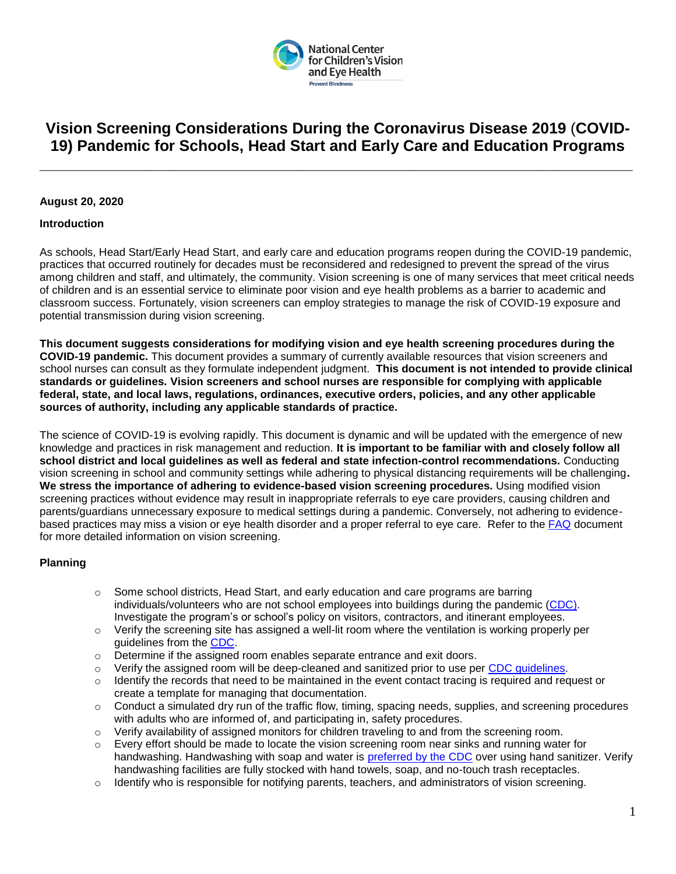

# **Vision Screening Considerations During the Coronavirus Disease 2019** (**COVID-19) Pandemic for Schools, Head Start and Early Care and Education Programs**

**\_\_\_\_\_\_\_\_\_\_\_\_\_\_\_\_\_\_\_\_\_\_\_\_\_\_\_\_\_\_\_\_\_\_\_\_\_\_\_\_\_\_\_\_\_\_\_\_\_\_\_\_\_\_\_\_\_\_\_\_\_\_\_\_\_\_\_\_\_**

## **August 20, 2020**

## **Introduction**

As schools, Head Start/Early Head Start, and early care and education programs reopen during the COVID-19 pandemic, practices that occurred routinely for decades must be reconsidered and redesigned to prevent the spread of the virus among children and staff, and ultimately, the community. Vision screening is one of many services that meet critical needs of children and is an essential service to eliminate poor vision and eye health problems as a barrier to academic and classroom success. Fortunately, vision screeners can employ strategies to manage the risk of COVID-19 exposure and potential transmission during vision screening.

**This document suggests considerations for modifying vision and eye health screening procedures during the COVID-19 pandemic.** This document provides a summary of currently available resources that vision screeners and school nurses can consult as they formulate independent judgment. **This document is not intended to provide clinical standards or guidelines. Vision screeners and school nurses are responsible for complying with applicable federal, state, and local laws, regulations, ordinances, executive orders, policies, and any other applicable sources of authority, including any applicable standards of practice.**

The science of COVID-19 is evolving rapidly. This document is dynamic and will be updated with the emergence of new knowledge and practices in risk management and reduction. **It is important to be familiar with and closely follow all school district and local guidelines as well as federal and state infection-control recommendations.** Conducting vision screening in school and community settings while adhering to physical distancing requirements will be challenging**. We stress the importance of adhering to evidence-based vision screening procedures.** Using modified vision screening practices without evidence may result in inappropriate referrals to eye care providers, causing children and parents/guardians unnecessary exposure to medical settings during a pandemic. Conversely, not adhering to evidence-based practices may miss a vision or eye health disorder and a proper referral to eye care. Refer to the [FAQ](https://preventblindness.org/school-vision-screening-considerations-covid-19-pandemic/) document for more detailed information on vision screening.

## **Planning**

- $\circ$  Some school districts, Head Start, and early education and care programs are barring individuals/volunteers who are not school employees into buildings during the pandemic [\(CDC\)](https://www.cdc.gov/coronavirus/2019-ncov/downloads/community/School-Admin-K12-readiness-and-planning-tool.pdf). Investigate the program's or school's policy on visitors, contractors, and itinerant employees.
- $\circ$  Verify the screening site has assigned a well-lit room where the ventilation is working properly per guidelines from the [CDC.](https://www.cdc.gov/coronavirus/2019-ncov/community/office-buildings.html)
- o Determine if the assigned room enables separate entrance and exit doors.
- $\circ$  Verify the assigned room will be deep-cleaned and sanitized prior to use per [CDC guidelines.](https://www.cdc.gov/coronavirus/2019-ncov/community/reopen-guidance.html)
- $\circ$  Identify the records that need to be maintained in the event contact tracing is required and request or create a template for managing that documentation.
- $\circ$  Conduct a simulated dry run of the traffic flow, timing, spacing needs, supplies, and screening procedures with adults who are informed of, and participating in, safety procedures.
- $\circ$  Verify availability of assigned monitors for children traveling to and from the screening room.
- $\circ$  Every effort should be made to locate the vision screening room near sinks and running water for handwashing. Handwashing with soap and water is [preferred by the CDC](https://www.cdc.gov/handwashing/show-me-the-science-hand-sanitizer.html) over using hand sanitizer. Verify handwashing facilities are fully stocked with hand towels, soap, and no-touch trash receptacles.
- $\circ$  Identify who is responsible for notifying parents, teachers, and administrators of vision screening.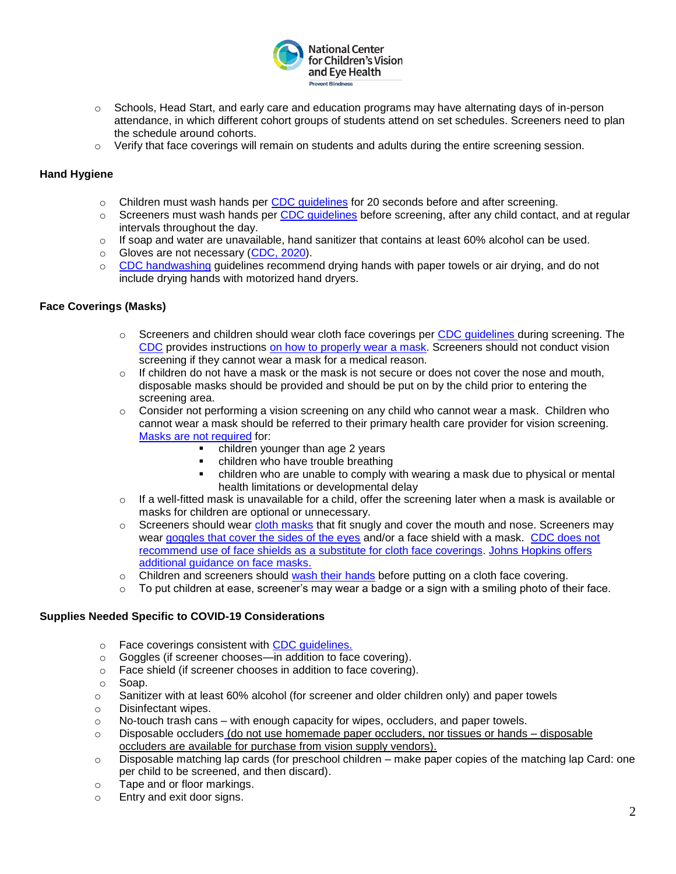

- $\circ$  Schools, Head Start, and early care and education programs may have alternating days of in-person attendance, in which different cohort groups of students attend on set schedules. Screeners need to plan the schedule around cohorts.
- $\circ$  Verify that face coverings will remain on students and adults during the entire screening session.

# **Hand Hygiene**

- $\circ$  Children must wash hands per CDC quidelines for 20 seconds before and after screening.
- $\circ$  Screeners must wash hands per CDC quidelines before screening, after any child contact, and at regular intervals throughout the day.
- $\circ$  If soap and water are unavailable, hand sanitizer that contains at least 60% alcohol can be used.
- o Gloves are not necessary [\(CDC, 2020\)](https://www.cdc.gov/coronavirus/2019-ncov/prevent-getting-sick/gloves.html).
- $\circ$  [CDC handwashing](https://www.cdc.gov/handwashing/when-how-handwashing.html) quidelines recommend drying hands with paper towels or air drying, and do not include drying hands with motorized hand dryers.

## **Face Coverings (Masks)**

- $\circ$  Screeners and children should wear cloth face coverings per CDC quidelines during screening. The [CDC](https://www.cdc.gov/coronavirus/2019-ncov/prevent-getting-sick/how-to-wear-cloth-face-coverings.html) provides instructions [on how to properly wear a mask.](https://www.cdc.gov/coronavirus/2019-ncov/prevent-getting-sick/how-to-wear-cloth-face-coverings.html) Screeners should not conduct vision screening if they cannot wear a mask for a medical reason.
- $\circ$  If children do not have a mask or the mask is not secure or does not cover the nose and mouth, disposable masks should be provided and should be put on by the child prior to entering the screening area.
- $\circ$  Consider not performing a vision screening on any child who cannot wear a mask. Children who cannot wear a mask should be referred to their primary health care provider for vision screening. [Masks are not required](https://www.cdc.gov/coronavirus/2019-ncov/prevent-getting-sick/cloth-face-cover-guidance.html) for:
	- children younger than age 2 years
	- children who have trouble breathing
	- children who are unable to comply with wearing a mask due to physical or mental health limitations or developmental delay
- $\circ$  If a well-fitted mask is unavailable for a child, offer the screening later when a mask is available or masks for children are optional or unnecessary.
- $\circ$  Screeners should wear [cloth masks](https://www.cdc.gov/coronavirus/2019-ncov/community/schools-childcare/cloth-face-cover.html) that fit snugly and cover the mouth and nose. Screeners may wear [goggles that cover the sides of the eyes](https://www.cdc.gov/coronavirus/2019-ncov/hcp/ppe-strategy/eye-protection.html) and/or a face shield with a mask. CDC does not [recommend use of face shields as a substitute for cloth face coverings.](https://www.cdc.gov/coronavirus/2019-ncov/community/schools-childcare/cloth-face-cover.html) [Johns Hopkins offers](https://www.hopkinsmedicine.org/health/conditions-and-diseases/coronavirus/coronavirus-face-masks-what-you-need-to-know)  [additional guidance on face masks.](https://www.hopkinsmedicine.org/health/conditions-and-diseases/coronavirus/coronavirus-face-masks-what-you-need-to-know)
- $\circ$  Children and screeners should [wash their hands](https://d.docs.live.net/deb3b2d9e63ee331/Documents/Ensure%20that%20students,%20teachers%20and%20staff%20are%20aware%20that%20they%20should%20wash%20or%20sanitize%20their%20hands%20(using%20a%20hand%20sanitizer%20that%20contains%20at%20least%2060%25%20alcohol)%20before%20putting%20on%20a%20cloth%20face%20covering.) before putting on a cloth face covering.
- $\circ$  To put children at ease, screener's may wear a badge or a sign with a smiling photo of their face.

# **Supplies Needed Specific to COVID-19 Considerations**

- o Face coverings consistent with [CDC guidelines.](https://www.cdc.gov/coronavirus/2019-ncov/prevent-getting-sick/diy-cloth-face-coverings.html)
- o Goggles (if screener chooses—in addition to face covering).
- o Face shield (if screener chooses in addition to face covering).
- o Soap.
- $\circ$  Sanitizer with at least 60% alcohol (for screener and older children only) and paper towels
- o Disinfectant wipes.
- $\circ$  No-touch trash cans with enough capacity for wipes, occluders, and paper towels.
- $\circ$  Disposable occluders (do not use homemade paper occluders, nor tissues or hands  $-$  disposable occluders are available for purchase from vision supply vendors).
- o Disposable matching lap cards (for preschool children make paper copies of the matching lap Card: one per child to be screened, and then discard).
- o Tape and or floor markings.
- o Entry and exit door signs.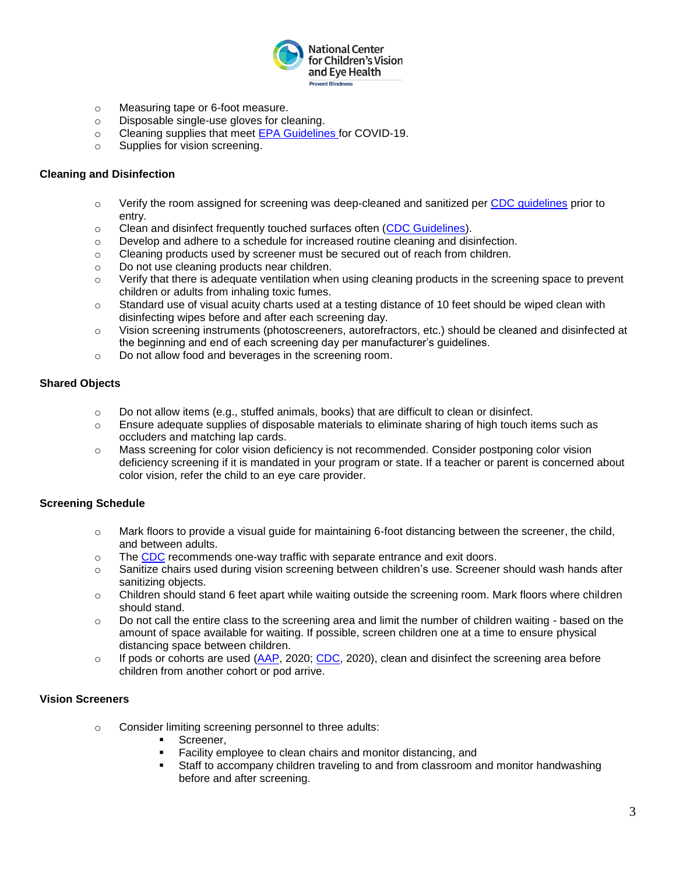

- o Measuring tape or 6-foot measure.
- o Disposable single-use gloves for cleaning.
- o Cleaning supplies that meet [EPA Guidelines](https://www.epa.gov/pesticide-registration/list-n-disinfectants-use-against-sars-cov-2-covid-19) for COVID-19.
- o Supplies for vision screening.

## **Cleaning and Disinfection**

- $\circ$  Verify the room assigned for screening was deep-cleaned and sanitized per [CDC guidelines](https://www.cdc.gov/coronavirus/2019-ncov/community/reopen-guidance.html) prior to entry.
- o Clean and disinfect frequently touched surfaces often [\(CDC Guidelines\)](https://www.cdc.gov/coronavirus/2019-ncov/community/reopen-guidance.html).
- $\circ$  Develop and adhere to a schedule for increased routine cleaning and disinfection.
- $\circ$  Cleaning products used by screener must be secured out of reach from children.
- o Do not use cleaning products near children.
- $\circ$  Verify that there is adequate ventilation when using cleaning products in the screening space to prevent children or adults from inhaling toxic fumes.
- o Standard use of visual acuity charts used at a testing distance of 10 feet should be wiped clean with disinfecting wipes before and after each screening day.
- o Vision screening instruments (photoscreeners, autorefractors, etc.) should be cleaned and disinfected at the beginning and end of each screening day per manufacturer's guidelines.
- o Do not allow food and beverages in the screening room.

## **Shared Objects**

- o Do not allow items (e.g., stuffed animals, books) that are difficult to clean or disinfect.
- $\circ$  Ensure adequate supplies of disposable materials to eliminate sharing of high touch items such as occluders and matching lap cards.
- o Mass screening for color vision deficiency is not recommended. Consider postponing color vision deficiency screening if it is mandated in your program or state. If a teacher or parent is concerned about color vision, refer the child to an eye care provider.

# **Screening Schedule**

- $\circ$  Mark floors to provide a visual guide for maintaining 6-foot distancing between the screener, the child, and between adults.
- $\circ$  The [CDC](https://www.cdc.gov/coronavirus/2019-ncov/community/schools-childcare/schools.htmlhttps:/www.epa.gov/pesticide-registration/list-n-disinfectants-use-against-sars-cov-2-covid-19) recommends one-way traffic with separate entrance and exit doors.
- o Sanitize chairs used during vision screening between children's use. Screener should wash hands after sanitizing objects.
- $\circ$  Children should stand 6 feet apart while waiting outside the screening room. Mark floors where children should stand.
- $\circ$  Do not call the entire class to the screening area and limit the number of children waiting based on the amount of space available for waiting. If possible, screen children one at a time to ensure physical distancing space between children.
- o If pods or cohorts are used  $(AAP, 2020; CDC, 2020)$  $(AAP, 2020; CDC, 2020)$  $(AAP, 2020; CDC, 2020)$  $(AAP, 2020; CDC, 2020)$ , clean and disinfect the screening area before children from another cohort or pod arrive.

# **Vision Screeners**

- o Consider limiting screening personnel to three adults:
	- Screener.
	- Facility employee to clean chairs and monitor distancing, and
	- Staff to accompany children traveling to and from classroom and monitor handwashing before and after screening.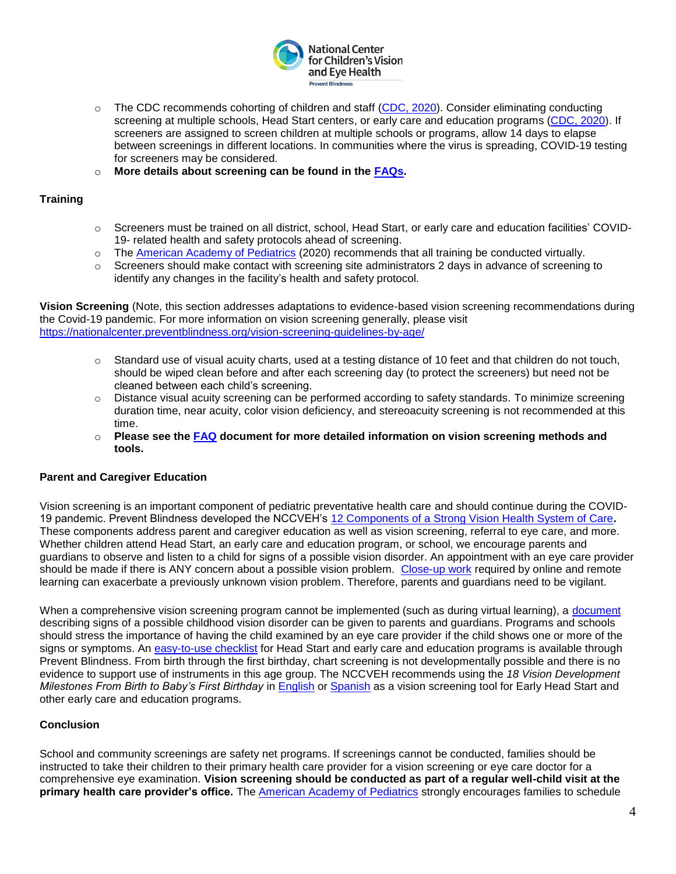

- $\circ$  The CDC recommends cohorting of children and staff [\(CDC, 2020\)](https://www.cdc.gov/coronavirus/2019-ncov/community/schools-childcare/prepare-safe-return.html#cohorting). Consider eliminating conducting screening at multiple schools, Head Start centers, or early care and education programs [\(CDC, 2020\)](https://www.cdc.gov/coronavirus/2019-ncov/community/schools-childcare/prepare-safe-return.html#cohorting). If screeners are assigned to screen children at multiple schools or programs, allow 14 days to elapse between screenings in different locations. In communities where the virus is spreading, COVID-19 testing for screeners may be considered.
- o **More details about screening can be found in the [FAQs.](https://preventblindness.org/school-vision-screening-considerations-covid-19-pandemic/)**

# **Training**

- o Screeners must be trained on all district, school, Head Start, or early care and education facilities' COVID-19- related health and safety protocols ahead of screening.
- o The [American Academy of Pediatrics](https://services.aap.org/en/pages/2019-novel-coronavirus-covid-19-infections/clinical-guidance/covid-19-planning-considerations-return-to-in-person-education-in-schools/) (2020) recommends that all training be conducted virtually.
- $\circ$  Screeners should make contact with screening site administrators 2 days in advance of screening to identify any changes in the facility's health and safety protocol.

**Vision Screening** (Note, this section addresses adaptations to evidence-based vision screening recommendations during the Covid-19 pandemic. For more information on vision screening generally, please visit <https://nationalcenter.preventblindness.org/vision-screening-guidelines-by-age/>

- $\circ$  Standard use of visual acuity charts, used at a testing distance of 10 feet and that children do not touch, should be wiped clean before and after each screening day (to protect the screeners) but need not be cleaned between each child's screening.
- $\circ$  Distance visual acuity screening can be performed according to safety standards. To minimize screening duration time, near acuity, color vision deficiency, and stereoacuity screening is not recommended at this time.
- o **Please see the [FAQ](https://preventblindness.org/school-vision-screening-considerations-covid-19-pandemic/) document for more detailed information on vision screening methods and tools.**

# **Parent and Caregiver Education**

Vision screening is an important component of pediatric preventative health care and should continue during the COVID-19 pandemic. Prevent Blindness developed the NCCVEH's [12 Components of a Strong Vision Health System of Care](http://preventblindness.org/12-components-of-a-strong-vision-health-system-of-care/)**.**  These components address parent and caregiver education as well as vision screening, referral to eye care, and more. Whether children attend Head Start, an early care and education program, or school, we encourage parents and guardians to observe and listen to a child for signs of a possible vision disorder. An appointment with an eye care provider should be made if there is ANY concern about a possible vision problem. [Close-up work](https://nationalcenter.preventblindness.org/wp-content/uploads/sites/22/2020/05/10-FS115-ENG-8answers-myopia.pdf) required by online and remote learning can exacerbate a previously unknown vision problem. Therefore, parents and guardians need to be vigilant.

When a comprehensive vision screening program cannot be implemented (such as during virtual learning), a [document](https://nationalcenter.preventblindness.org/wp-content/uploads/sites/22/2020/08/Signs-of-Possible-Vision-Problems.pdf) describing signs of a possible childhood vision disorder can be given to parents and guardians. Programs and schools should stress the importance of having the child examined by an eye care provider if the child shows one or more of the signs or symptoms. An [easy-to-use checklist](https://preventblindness.org/signs-of-possible-eye-problems-in-children/) for Head Start and early care and education programs is available through Prevent Blindness. From birth through the first birthday, chart screening is not developmentally possible and there is no evidence to support use of instruments in this age group. The NCCVEH recommends using the *18 Vision Development Milestones From Birth to Baby's First Birthday* in [English](https://nationalcenter.preventblindness.org/wp-content/uploads/sites/22/2020/05/18-Key-vision-questions-to-ask-in-year-1_version-5.27.2020.pdf) or [Spanish](https://nationalcenter.preventblindness.org/wp-content/uploads/sites/22/2020/06/Spanish_18-Key-vision-questions-to-ask-in-year-1_version-5.27.2020-1.pdf) as a vision screening tool for Early Head Start and other early care and education programs.

## **Conclusion**

School and community screenings are safety net programs. If screenings cannot be conducted, families should be instructed to take their children to their primary health care provider for a vision screening or eye care doctor for a comprehensive eye examination. **Vision screening should be conducted as part of a regular well-child visit at the primary health care provider's office.** The [American Academy of Pediatrics](https://www.aappublications.org/news/2020/04/14/ambulatory041420) strongly encourages families to schedule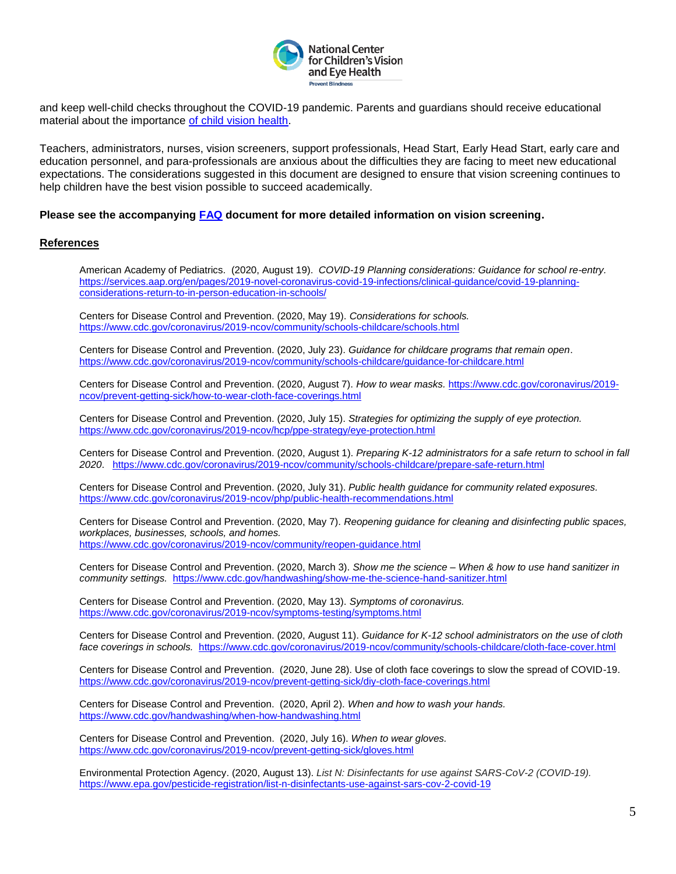

and keep well-child checks throughout the COVID-19 pandemic. Parents and guardians should receive educational material about the importance [of child vision health.](https://nationalcenter.preventblindness.org/)

Teachers, administrators, nurses, vision screeners, support professionals, Head Start, Early Head Start, early care and education personnel, and para-professionals are anxious about the difficulties they are facing to meet new educational expectations. The considerations suggested in this document are designed to ensure that vision screening continues to help children have the best vision possible to succeed academically.

#### **Please see the accompanying [FAQ](https://preventblindness.org/school-vision-screening-considerations-covid-19-pandemic/) document for more detailed information on vision screening.**

#### **References**

• American Academy of Pediatrics. (2020, August 19). *COVID-19 Planning considerations: Guidance for school re-entry.* [https://services.aap.org/en/pages/2019-novel-coronavirus-covid-19-infections/clinical-guidance/covid-19-planning](https://services.aap.org/en/pages/2019-novel-coronavirus-covid-19-infections/clinical-guidance/covid-19-planning-considerations-return-to-in-person-education-in-schools/)[considerations-return-to-in-person-education-in-schools/](https://services.aap.org/en/pages/2019-novel-coronavirus-covid-19-infections/clinical-guidance/covid-19-planning-considerations-return-to-in-person-education-in-schools/)

Centers for Disease Control and Prevention. (2020, May 19). *Considerations for schools.* <https://www.cdc.gov/coronavirus/2019-ncov/community/schools-childcare/schools.html>

Centers for Disease Control and Prevention. (2020, July 23). *Guidance for childcare programs that remain open*. <https://www.cdc.gov/coronavirus/2019-ncov/community/schools-childcare/guidance-for-childcare.html>

Centers for Disease Control and Prevention. (2020, August 7). *How to wear masks.* [https://www.cdc.gov/coronavirus/2019](https://www.cdc.gov/coronavirus/2019-ncov/prevent-getting-sick/how-to-wear-cloth-face-coverings.html) [ncov/prevent-getting-sick/how-to-wear-cloth-face-coverings.html](https://www.cdc.gov/coronavirus/2019-ncov/prevent-getting-sick/how-to-wear-cloth-face-coverings.html)

Centers for Disease Control and Prevention. (2020, July 15). *Strategies for optimizing the supply of eye protection.* <https://www.cdc.gov/coronavirus/2019-ncov/hcp/ppe-strategy/eye-protection.html>

Centers for Disease Control and Prevention. (2020, August 1). *Preparing K-12 administrators for a safe return to school in fall 2020*. <https://www.cdc.gov/coronavirus/2019-ncov/community/schools-childcare/prepare-safe-return.html>

Centers for Disease Control and Prevention. (2020, July 31). *Public health guidance for community related exposures.* <https://www.cdc.gov/coronavirus/2019-ncov/php/public-health-recommendations.html>

Centers for Disease Control and Prevention. (2020, May 7). *Reopening guidance for cleaning and disinfecting public spaces, workplaces, businesses, schools, and homes.* <https://www.cdc.gov/coronavirus/2019-ncov/community/reopen-guidance.html>

Centers for Disease Control and Prevention. (2020, March 3). *Show me the science – When & how to use hand sanitizer in community settings.*<https://www.cdc.gov/handwashing/show-me-the-science-hand-sanitizer.html>

Centers for Disease Control and Prevention. (2020, May 13). *Symptoms of coronavirus.* <https://www.cdc.gov/coronavirus/2019-ncov/symptoms-testing/symptoms.html>

Centers for Disease Control and Prevention. (2020, August 11). *Guidance for K-12 school administrators on the use of cloth face coverings in schools.* <https://www.cdc.gov/coronavirus/2019-ncov/community/schools-childcare/cloth-face-cover.html>

Centers for Disease Control and Prevention. (2020, June 28). Use of cloth face coverings to slow the spread of COVID-19. <https://www.cdc.gov/coronavirus/2019-ncov/prevent-getting-sick/diy-cloth-face-coverings.html>

Centers for Disease Control and Prevention. (2020, April 2). *When and how to wash your hands.* <https://www.cdc.gov/handwashing/when-how-handwashing.html>

Centers for Disease Control and Prevention. (2020, July 16). *When to wear gloves.* <https://www.cdc.gov/coronavirus/2019-ncov/prevent-getting-sick/gloves.html>

Environmental Protection Agency. (2020, August 13). *List N: Disinfectants for use against SARS-CoV-2 (COVID-19).*  <https://www.epa.gov/pesticide-registration/list-n-disinfectants-use-against-sars-cov-2-covid-19>